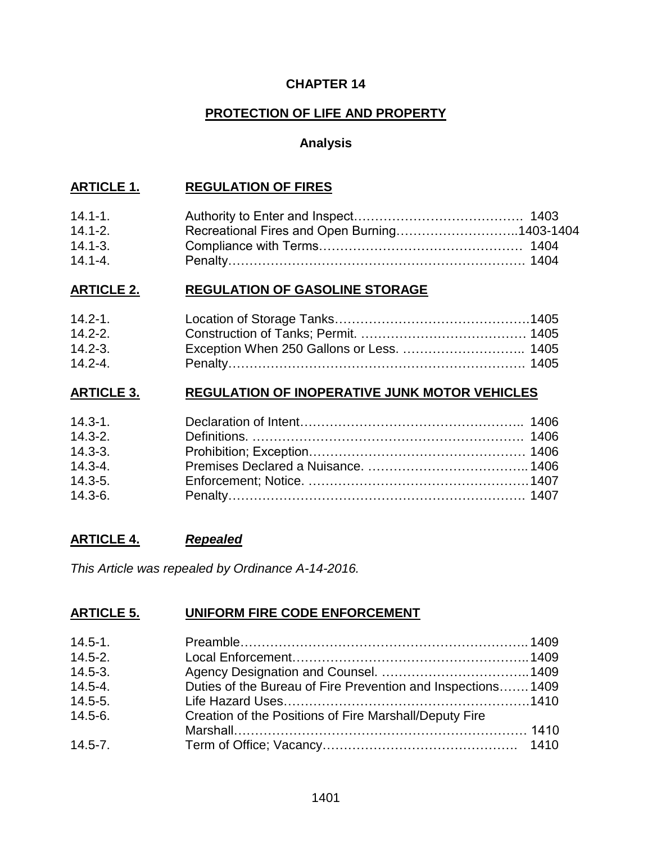### **CHAPTER 14**

## **PROTECTION OF LIFE AND PROPERTY**

## **Analysis**

## **ARTICLE 1. REGULATION OF FIRES**

| $14.1 - 1.$ |                                              |  |
|-------------|----------------------------------------------|--|
| $14.1 - 2.$ | Recreational Fires and Open Burning1403-1404 |  |
| $14.1 - 3.$ |                                              |  |
| $14.1 - 4.$ |                                              |  |

### **ARTICLE 2. REGULATION OF GASOLINE STORAGE**

| $14.2 - 1.$ |  |
|-------------|--|
| $14.2 - 2.$ |  |
| $14.2 - 3.$ |  |
| $14.2 - 4.$ |  |

## **ARTICLE 3. REGULATION OF INOPERATIVE JUNK MOTOR VEHICLES**

| $14.3 - 1.$ |  |
|-------------|--|
| $14.3 - 2.$ |  |
| $14.3 - 3.$ |  |
| $14.3 - 4.$ |  |
| $14.3 - 5.$ |  |
| $14.3 - 6.$ |  |

## **ARTICLE 4.** *Repealed*

*This Article was repealed by Ordinance A-14-2016.*

## **ARTICLE 5. UNIFORM FIRE CODE ENFORCEMENT**

| $14.5 - 1.$ |                                                             |  |
|-------------|-------------------------------------------------------------|--|
| $14.5 - 2.$ |                                                             |  |
| $14.5 - 3.$ |                                                             |  |
| $14.5 - 4.$ | Duties of the Bureau of Fire Prevention and Inspections1409 |  |
| $14.5 - 5.$ |                                                             |  |
| $14.5 - 6.$ | Creation of the Positions of Fire Marshall/Deputy Fire      |  |
|             |                                                             |  |
| $14.5 - 7.$ |                                                             |  |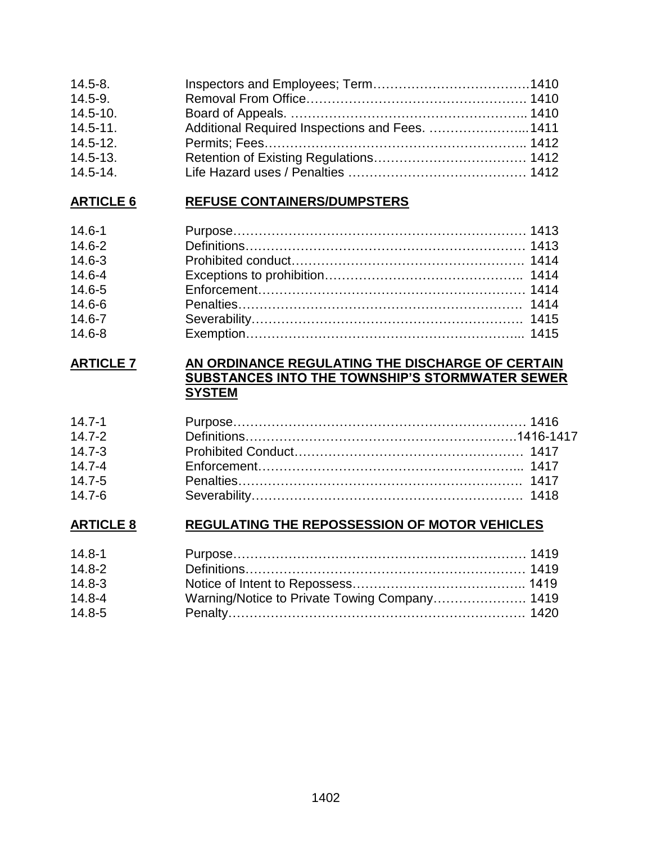| $14.5 - 8.$  |                                                 |  |
|--------------|-------------------------------------------------|--|
| $14.5 - 9.$  |                                                 |  |
| $14.5 - 10.$ |                                                 |  |
| $14.5 - 11.$ | Additional Required Inspections and Fees.  1411 |  |
| $14.5 - 12.$ |                                                 |  |
| $14.5 - 13.$ |                                                 |  |
| $14.5 - 14.$ |                                                 |  |

# **ARTICLE 6 REFUSE CONTAINERS/DUMPSTERS**

| $14.6 - 1$ |  |
|------------|--|
| $14.6 - 2$ |  |
| $14.6 - 3$ |  |
| $14.6 - 4$ |  |
| $14.6 - 5$ |  |
| $14.6 - 6$ |  |
| $14.6 - 7$ |  |
| $14.6 - 8$ |  |

## **ARTICLE 7 AN ORDINANCE REGULATING THE DISCHARGE OF CERTAIN SUBSTANCES INTO THE TOWNSHIP'S STORMWATER SEWER SYSTEM**

| $14.7 - 1$ |  |
|------------|--|
| $14.7 - 2$ |  |
| $14.7 - 3$ |  |
| $14.7 - 4$ |  |
| $14.7 - 5$ |  |
| $14.7 - 6$ |  |

# **ARTICLE 8 REGULATING THE REPOSSESSION OF MOTOR VEHICLES**

| $14.8 - 1$ |  |
|------------|--|
| $14.8 - 2$ |  |
| $14.8 - 3$ |  |
| $14.8 - 4$ |  |
| $14.8 - 5$ |  |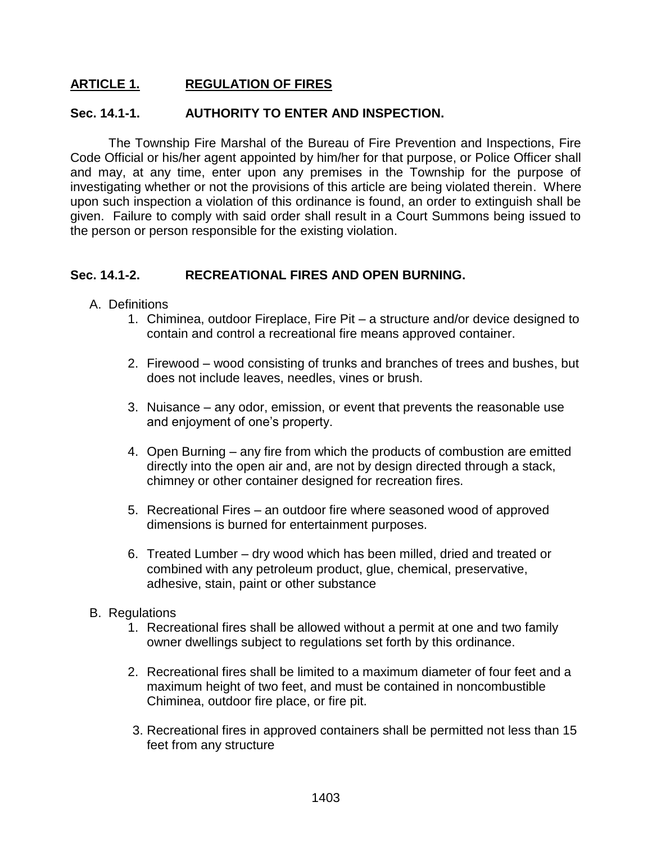## **ARTICLE 1. REGULATION OF FIRES**

#### **Sec. 14.1-1. AUTHORITY TO ENTER AND INSPECTION.**

The Township Fire Marshal of the Bureau of Fire Prevention and Inspections, Fire Code Official or his/her agent appointed by him/her for that purpose, or Police Officer shall and may, at any time, enter upon any premises in the Township for the purpose of investigating whether or not the provisions of this article are being violated therein. Where upon such inspection a violation of this ordinance is found, an order to extinguish shall be given. Failure to comply with said order shall result in a Court Summons being issued to the person or person responsible for the existing violation.

#### **Sec. 14.1-2. RECREATIONAL FIRES AND OPEN BURNING.**

- A. Definitions
	- 1. Chiminea, outdoor Fireplace, Fire Pit a structure and/or device designed to contain and control a recreational fire means approved container.
	- 2. Firewood wood consisting of trunks and branches of trees and bushes, but does not include leaves, needles, vines or brush.
	- 3. Nuisance any odor, emission, or event that prevents the reasonable use and enjoyment of one's property.
	- 4. Open Burning any fire from which the products of combustion are emitted directly into the open air and, are not by design directed through a stack, chimney or other container designed for recreation fires.
	- 5. Recreational Fires an outdoor fire where seasoned wood of approved dimensions is burned for entertainment purposes.
	- 6. Treated Lumber dry wood which has been milled, dried and treated or combined with any petroleum product, glue, chemical, preservative, adhesive, stain, paint or other substance
- B. Regulations
	- 1. Recreational fires shall be allowed without a permit at one and two family owner dwellings subject to regulations set forth by this ordinance.
	- 2. Recreational fires shall be limited to a maximum diameter of four feet and a maximum height of two feet, and must be contained in noncombustible Chiminea, outdoor fire place, or fire pit.
	- 3. Recreational fires in approved containers shall be permitted not less than 15 feet from any structure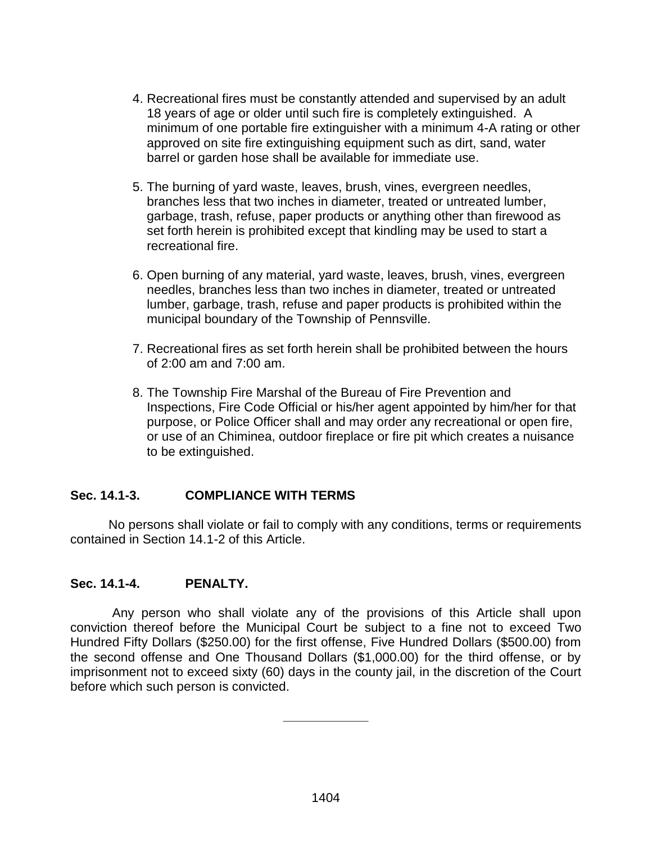- 4. Recreational fires must be constantly attended and supervised by an adult 18 years of age or older until such fire is completely extinguished. A minimum of one portable fire extinguisher with a minimum 4-A rating or other approved on site fire extinguishing equipment such as dirt, sand, water barrel or garden hose shall be available for immediate use.
- 5. The burning of yard waste, leaves, brush, vines, evergreen needles, branches less that two inches in diameter, treated or untreated lumber, garbage, trash, refuse, paper products or anything other than firewood as set forth herein is prohibited except that kindling may be used to start a recreational fire.
- 6. Open burning of any material, yard waste, leaves, brush, vines, evergreen needles, branches less than two inches in diameter, treated or untreated lumber, garbage, trash, refuse and paper products is prohibited within the municipal boundary of the Township of Pennsville.
- 7. Recreational fires as set forth herein shall be prohibited between the hours of 2:00 am and 7:00 am.
- 8. The Township Fire Marshal of the Bureau of Fire Prevention and Inspections, Fire Code Official or his/her agent appointed by him/her for that purpose, or Police Officer shall and may order any recreational or open fire, or use of an Chiminea, outdoor fireplace or fire pit which creates a nuisance to be extinguished.

### **Sec. 14.1-3. COMPLIANCE WITH TERMS**

No persons shall violate or fail to comply with any conditions, terms or requirements contained in Section 14.1-2 of this Article.

## **Sec. 14.1-4. PENALTY.**

Any person who shall violate any of the provisions of this Article shall upon conviction thereof before the Municipal Court be subject to a fine not to exceed Two Hundred Fifty Dollars (\$250.00) for the first offense, Five Hundred Dollars (\$500.00) from the second offense and One Thousand Dollars (\$1,000.00) for the third offense, or by imprisonment not to exceed sixty (60) days in the county jail, in the discretion of the Court before which such person is convicted.

**\_\_\_\_\_\_\_\_\_\_\_\_**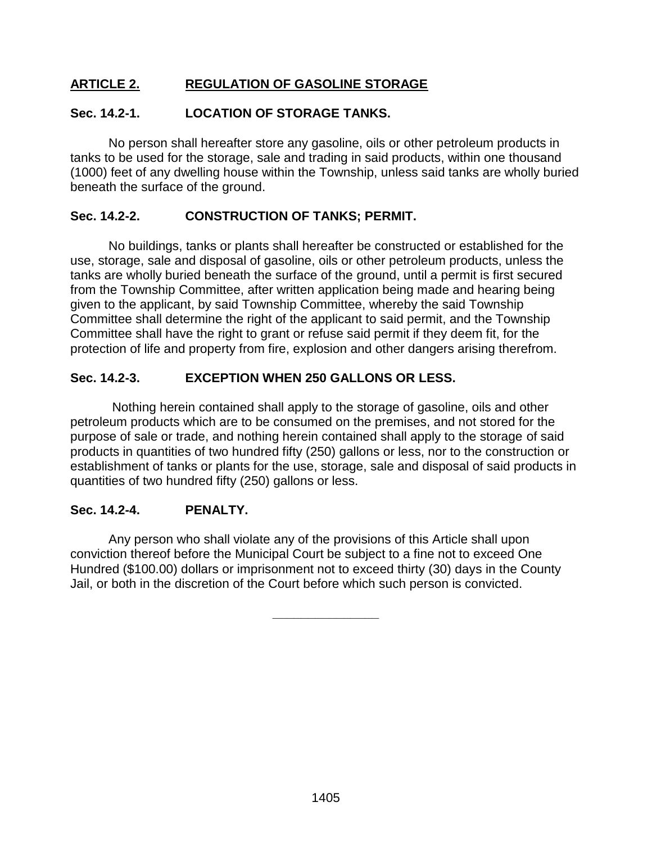## **ARTICLE 2. REGULATION OF GASOLINE STORAGE**

### **Sec. 14.2-1. LOCATION OF STORAGE TANKS.**

No person shall hereafter store any gasoline, oils or other petroleum products in tanks to be used for the storage, sale and trading in said products, within one thousand (1000) feet of any dwelling house within the Township, unless said tanks are wholly buried beneath the surface of the ground.

### **Sec. 14.2-2. CONSTRUCTION OF TANKS; PERMIT.**

No buildings, tanks or plants shall hereafter be constructed or established for the use, storage, sale and disposal of gasoline, oils or other petroleum products, unless the tanks are wholly buried beneath the surface of the ground, until a permit is first secured from the Township Committee, after written application being made and hearing being given to the applicant, by said Township Committee, whereby the said Township Committee shall determine the right of the applicant to said permit, and the Township Committee shall have the right to grant or refuse said permit if they deem fit, for the protection of life and property from fire, explosion and other dangers arising therefrom.

### **Sec. 14.2-3. EXCEPTION WHEN 250 GALLONS OR LESS.**

Nothing herein contained shall apply to the storage of gasoline, oils and other petroleum products which are to be consumed on the premises, and not stored for the purpose of sale or trade, and nothing herein contained shall apply to the storage of said products in quantities of two hundred fifty (250) gallons or less, nor to the construction or establishment of tanks or plants for the use, storage, sale and disposal of said products in quantities of two hundred fifty (250) gallons or less.

### **Sec. 14.2-4. PENALTY.**

Any person who shall violate any of the provisions of this Article shall upon conviction thereof before the Municipal Court be subject to a fine not to exceed One Hundred (\$100.00) dollars or imprisonment not to exceed thirty (30) days in the County Jail, or both in the discretion of the Court before which such person is convicted.

**\_\_\_\_\_\_\_\_\_\_\_\_\_\_\_**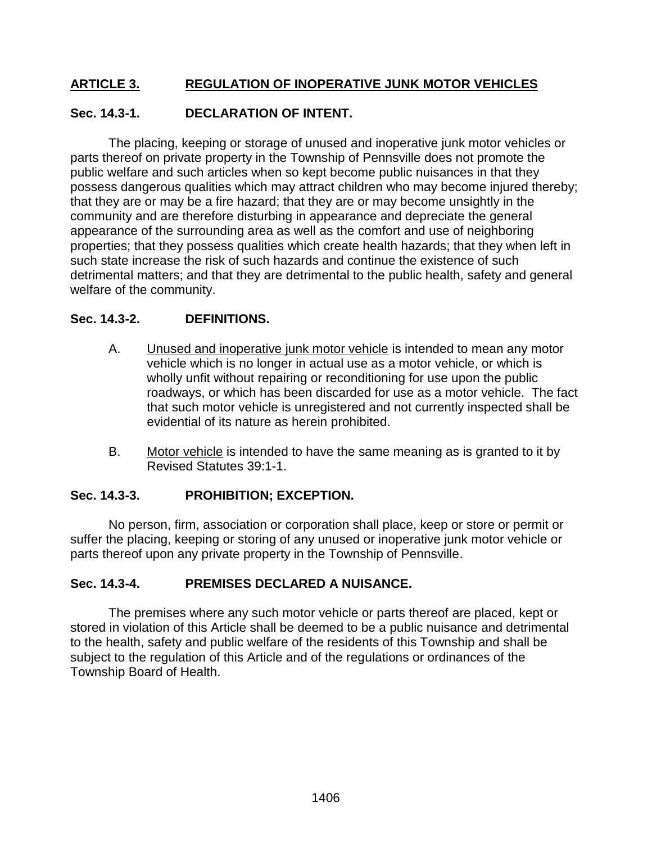## **ARTICLE 3. REGULATION OF INOPERATIVE JUNK MOTOR VEHICLES**

## **Sec. 14.3-1. DECLARATION OF INTENT.**

The placing, keeping or storage of unused and inoperative junk motor vehicles or parts thereof on private property in the Township of Pennsville does not promote the public welfare and such articles when so kept become public nuisances in that they possess dangerous qualities which may attract children who may become injured thereby; that they are or may be a fire hazard; that they are or may become unsightly in the community and are therefore disturbing in appearance and depreciate the general appearance of the surrounding area as well as the comfort and use of neighboring properties; that they possess qualities which create health hazards; that they when left in such state increase the risk of such hazards and continue the existence of such detrimental matters; and that they are detrimental to the public health, safety and general welfare of the community.

### **Sec. 14.3-2. DEFINITIONS.**

- A. Unused and inoperative junk motor vehicle is intended to mean any motor vehicle which is no longer in actual use as a motor vehicle, or which is wholly unfit without repairing or reconditioning for use upon the public roadways, or which has been discarded for use as a motor vehicle. The fact that such motor vehicle is unregistered and not currently inspected shall be evidential of its nature as herein prohibited.
- B. Motor vehicle is intended to have the same meaning as is granted to it by Revised Statutes 39:1-1.

### **Sec. 14.3-3. PROHIBITION; EXCEPTION.**

No person, firm, association or corporation shall place, keep or store or permit or suffer the placing, keeping or storing of any unused or inoperative junk motor vehicle or parts thereof upon any private property in the Township of Pennsville.

## **Sec. 14.3-4. PREMISES DECLARED A NUISANCE.**

The premises where any such motor vehicle or parts thereof are placed, kept or stored in violation of this Article shall be deemed to be a public nuisance and detrimental to the health, safety and public welfare of the residents of this Township and shall be subject to the regulation of this Article and of the regulations or ordinances of the Township Board of Health.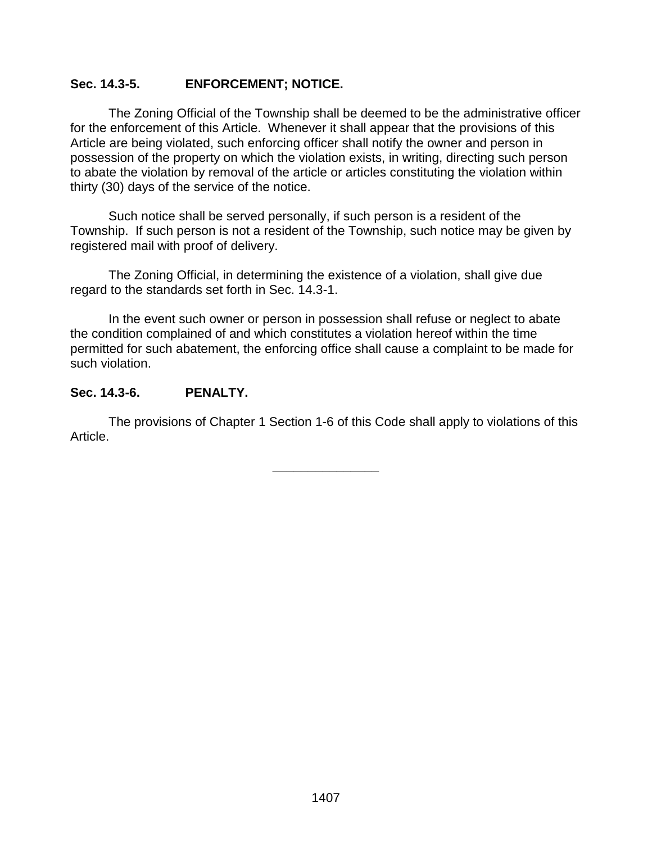### **Sec. 14.3-5. ENFORCEMENT; NOTICE.**

The Zoning Official of the Township shall be deemed to be the administrative officer for the enforcement of this Article. Whenever it shall appear that the provisions of this Article are being violated, such enforcing officer shall notify the owner and person in possession of the property on which the violation exists, in writing, directing such person to abate the violation by removal of the article or articles constituting the violation within thirty (30) days of the service of the notice.

Such notice shall be served personally, if such person is a resident of the Township. If such person is not a resident of the Township, such notice may be given by registered mail with proof of delivery.

The Zoning Official, in determining the existence of a violation, shall give due regard to the standards set forth in Sec. 14.3-1.

In the event such owner or person in possession shall refuse or neglect to abate the condition complained of and which constitutes a violation hereof within the time permitted for such abatement, the enforcing office shall cause a complaint to be made for such violation.

### **Sec. 14.3-6. PENALTY.**

The provisions of Chapter 1 Section 1-6 of this Code shall apply to violations of this Article.

**\_\_\_\_\_\_\_\_\_\_\_\_\_\_\_**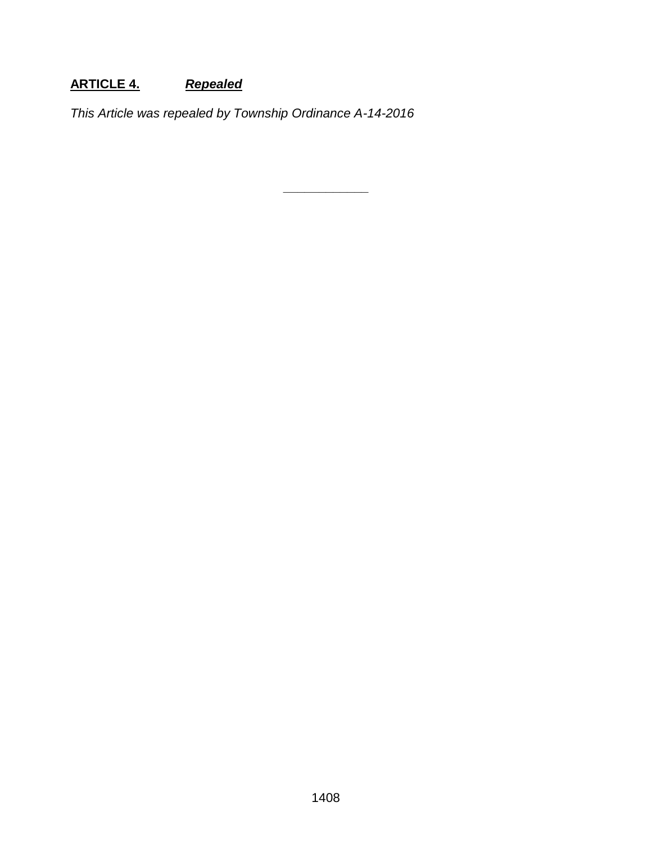# **ARTICLE 4.** *Repealed*

*This Article was repealed by Township Ordinance A-14-2016*

**\_\_\_\_\_\_\_\_\_\_\_\_**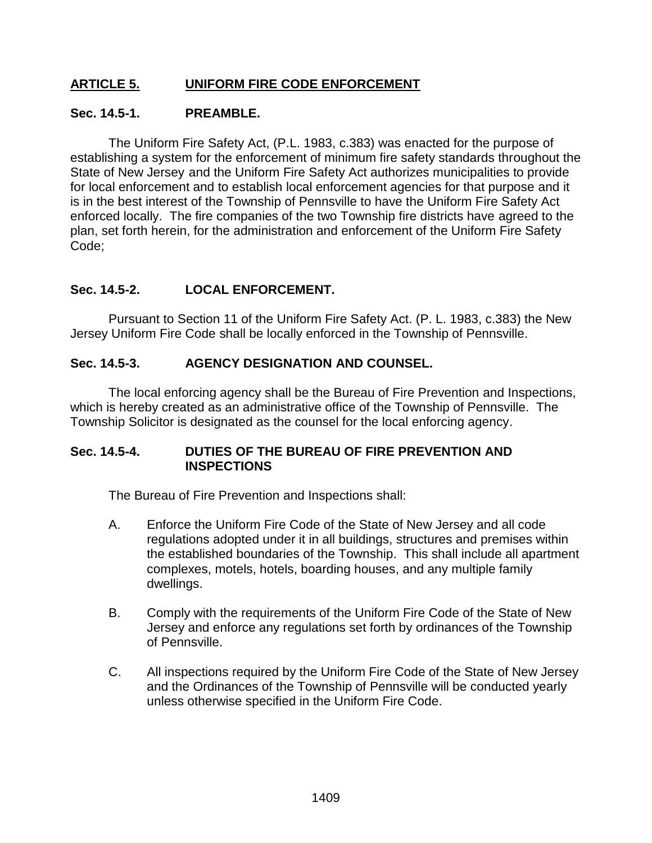## **ARTICLE 5. UNIFORM FIRE CODE ENFORCEMENT**

#### **Sec. 14.5-1. PREAMBLE.**

The Uniform Fire Safety Act, (P.L. 1983, c.383) was enacted for the purpose of establishing a system for the enforcement of minimum fire safety standards throughout the State of New Jersey and the Uniform Fire Safety Act authorizes municipalities to provide for local enforcement and to establish local enforcement agencies for that purpose and it is in the best interest of the Township of Pennsville to have the Uniform Fire Safety Act enforced locally. The fire companies of the two Township fire districts have agreed to the plan, set forth herein, for the administration and enforcement of the Uniform Fire Safety Code;

### **Sec. 14.5-2. LOCAL ENFORCEMENT.**

Pursuant to Section 11 of the Uniform Fire Safety Act. (P. L. 1983, c.383) the New Jersey Uniform Fire Code shall be locally enforced in the Township of Pennsville.

### **Sec. 14.5-3. AGENCY DESIGNATION AND COUNSEL.**

The local enforcing agency shall be the Bureau of Fire Prevention and Inspections, which is hereby created as an administrative office of the Township of Pennsville. The Township Solicitor is designated as the counsel for the local enforcing agency.

#### **Sec. 14.5-4. DUTIES OF THE BUREAU OF FIRE PREVENTION AND INSPECTIONS**

The Bureau of Fire Prevention and Inspections shall:

- A. Enforce the Uniform Fire Code of the State of New Jersey and all code regulations adopted under it in all buildings, structures and premises within the established boundaries of the Township. This shall include all apartment complexes, motels, hotels, boarding houses, and any multiple family dwellings.
- B. Comply with the requirements of the Uniform Fire Code of the State of New Jersey and enforce any regulations set forth by ordinances of the Township of Pennsville.
- C. All inspections required by the Uniform Fire Code of the State of New Jersey and the Ordinances of the Township of Pennsville will be conducted yearly unless otherwise specified in the Uniform Fire Code.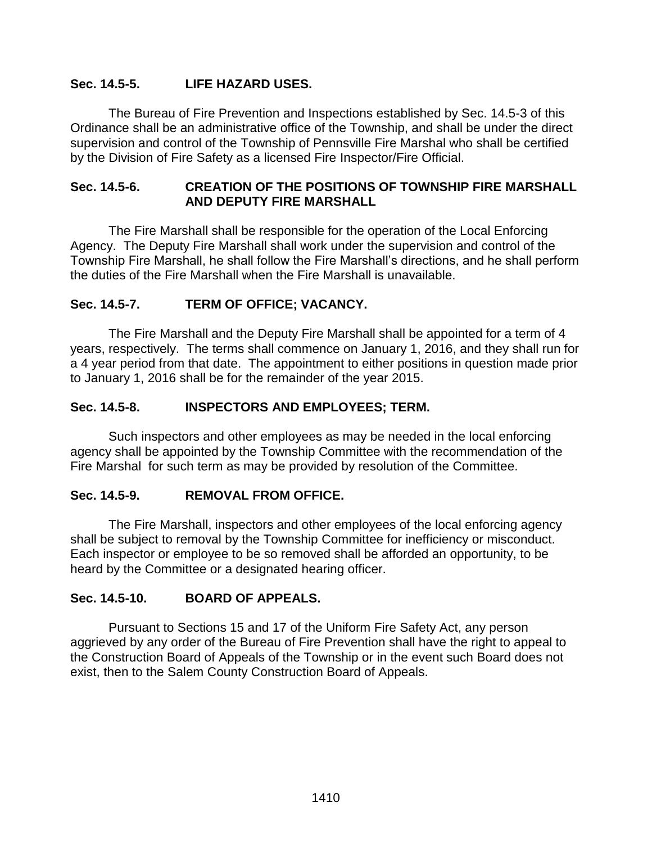## **Sec. 14.5-5. LIFE HAZARD USES.**

The Bureau of Fire Prevention and Inspections established by Sec. 14.5-3 of this Ordinance shall be an administrative office of the Township, and shall be under the direct supervision and control of the Township of Pennsville Fire Marshal who shall be certified by the Division of Fire Safety as a licensed Fire Inspector/Fire Official.

### **Sec. 14.5-6. CREATION OF THE POSITIONS OF TOWNSHIP FIRE MARSHALL AND DEPUTY FIRE MARSHALL**

The Fire Marshall shall be responsible for the operation of the Local Enforcing Agency. The Deputy Fire Marshall shall work under the supervision and control of the Township Fire Marshall, he shall follow the Fire Marshall's directions, and he shall perform the duties of the Fire Marshall when the Fire Marshall is unavailable.

### **Sec. 14.5-7. TERM OF OFFICE; VACANCY.**

The Fire Marshall and the Deputy Fire Marshall shall be appointed for a term of 4 years, respectively. The terms shall commence on January 1, 2016, and they shall run for a 4 year period from that date. The appointment to either positions in question made prior to January 1, 2016 shall be for the remainder of the year 2015.

### **Sec. 14.5-8. INSPECTORS AND EMPLOYEES; TERM.**

Such inspectors and other employees as may be needed in the local enforcing agency shall be appointed by the Township Committee with the recommendation of the Fire Marshal for such term as may be provided by resolution of the Committee.

### **Sec. 14.5-9. REMOVAL FROM OFFICE.**

The Fire Marshall, inspectors and other employees of the local enforcing agency shall be subject to removal by the Township Committee for inefficiency or misconduct. Each inspector or employee to be so removed shall be afforded an opportunity, to be heard by the Committee or a designated hearing officer.

### **Sec. 14.5-10. BOARD OF APPEALS.**

Pursuant to Sections 15 and 17 of the Uniform Fire Safety Act, any person aggrieved by any order of the Bureau of Fire Prevention shall have the right to appeal to the Construction Board of Appeals of the Township or in the event such Board does not exist, then to the Salem County Construction Board of Appeals.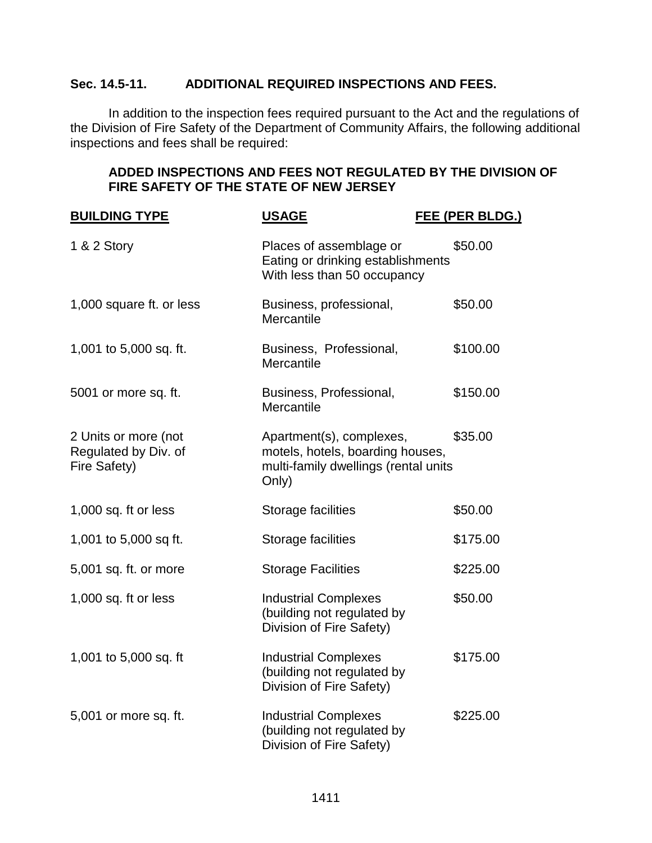## **Sec. 14.5-11. ADDITIONAL REQUIRED INSPECTIONS AND FEES.**

In addition to the inspection fees required pursuant to the Act and the regulations of the Division of Fire Safety of the Department of Community Affairs, the following additional inspections and fees shall be required:

## **ADDED INSPECTIONS AND FEES NOT REGULATED BY THE DIVISION OF FIRE SAFETY OF THE STATE OF NEW JERSEY**

| <b>BUILDING TYPE</b>                                         | <b>USAGE</b>                                                                                                  | FEE (PER BLDG.) |
|--------------------------------------------------------------|---------------------------------------------------------------------------------------------------------------|-----------------|
| 1 & 2 Story                                                  | Places of assemblage or<br>Eating or drinking establishments<br>With less than 50 occupancy                   | \$50.00         |
| 1,000 square ft. or less                                     | Business, professional,<br>Mercantile                                                                         | \$50.00         |
| 1,001 to 5,000 sq. ft.                                       | Business, Professional,<br>Mercantile                                                                         | \$100.00        |
| 5001 or more sq. ft.                                         | Business, Professional,<br>Mercantile                                                                         | \$150.00        |
| 2 Units or more (not<br>Regulated by Div. of<br>Fire Safety) | Apartment(s), complexes,<br>motels, hotels, boarding houses,<br>multi-family dwellings (rental units<br>Only) | \$35.00         |
| 1,000 sq. ft or less                                         | Storage facilities                                                                                            | \$50.00         |
| 1,001 to 5,000 sq ft.                                        | Storage facilities                                                                                            | \$175.00        |
| 5,001 sq. ft. or more                                        | <b>Storage Facilities</b>                                                                                     | \$225.00        |
| 1,000 sq. $ft$ or less                                       | <b>Industrial Complexes</b><br>(building not regulated by<br>Division of Fire Safety)                         | \$50.00         |
| 1,001 to 5,000 sq. ft                                        | <b>Industrial Complexes</b><br>(building not regulated by<br>Division of Fire Safety)                         | \$175.00        |
| 5,001 or more sq. ft.                                        | <b>Industrial Complexes</b><br>(building not regulated by<br>Division of Fire Safety)                         | \$225.00        |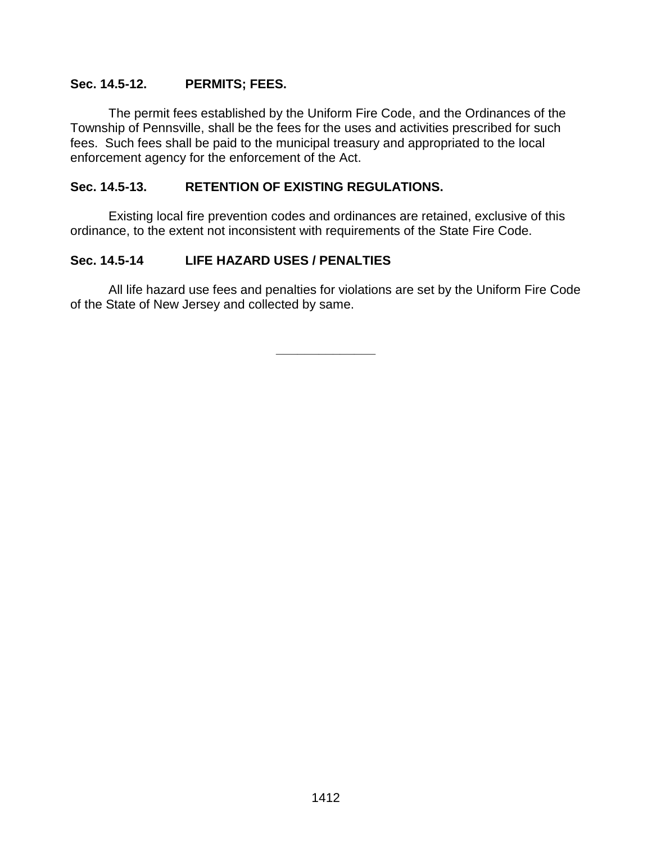### **Sec. 14.5-12. PERMITS; FEES.**

The permit fees established by the Uniform Fire Code, and the Ordinances of the Township of Pennsville, shall be the fees for the uses and activities prescribed for such fees. Such fees shall be paid to the municipal treasury and appropriated to the local enforcement agency for the enforcement of the Act.

### **Sec. 14.5-13. RETENTION OF EXISTING REGULATIONS.**

Existing local fire prevention codes and ordinances are retained, exclusive of this ordinance, to the extent not inconsistent with requirements of the State Fire Code.

## **Sec. 14.5-14 LIFE HAZARD USES / PENALTIES**

All life hazard use fees and penalties for violations are set by the Uniform Fire Code of the State of New Jersey and collected by same.

**\_\_\_\_\_\_\_\_\_\_\_\_\_\_**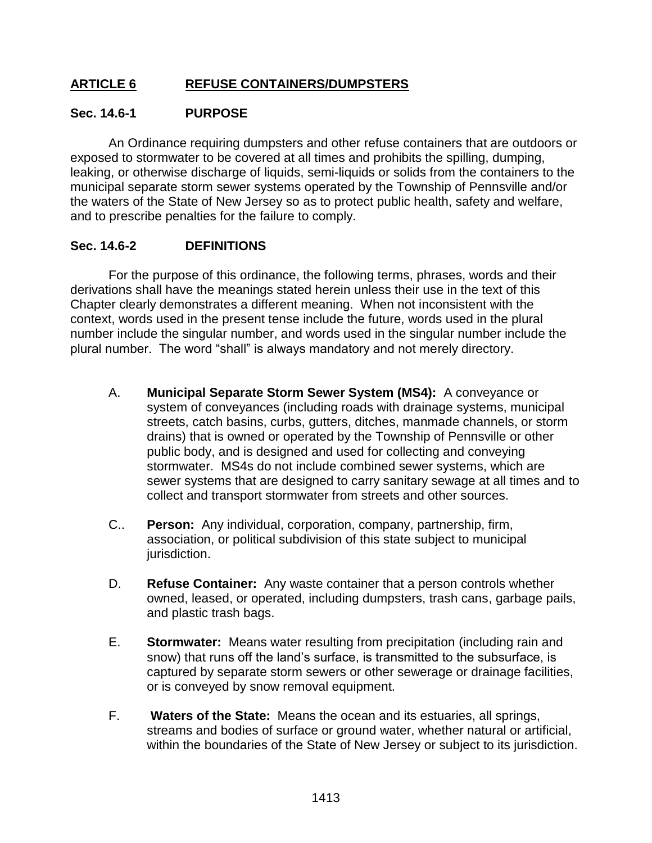## **ARTICLE 6 REFUSE CONTAINERS/DUMPSTERS**

### **Sec. 14.6-1 PURPOSE**

An Ordinance requiring dumpsters and other refuse containers that are outdoors or exposed to stormwater to be covered at all times and prohibits the spilling, dumping, leaking, or otherwise discharge of liquids, semi-liquids or solids from the containers to the municipal separate storm sewer systems operated by the Township of Pennsville and/or the waters of the State of New Jersey so as to protect public health, safety and welfare, and to prescribe penalties for the failure to comply.

## **Sec. 14.6-2 DEFINITIONS**

For the purpose of this ordinance, the following terms, phrases, words and their derivations shall have the meanings stated herein unless their use in the text of this Chapter clearly demonstrates a different meaning. When not inconsistent with the context, words used in the present tense include the future, words used in the plural number include the singular number, and words used in the singular number include the plural number. The word "shall" is always mandatory and not merely directory.

- A. **Municipal Separate Storm Sewer System (MS4):** A conveyance or system of conveyances (including roads with drainage systems, municipal streets, catch basins, curbs, gutters, ditches, manmade channels, or storm drains) that is owned or operated by the Township of Pennsville or other public body, and is designed and used for collecting and conveying stormwater. MS4s do not include combined sewer systems, which are sewer systems that are designed to carry sanitary sewage at all times and to collect and transport stormwater from streets and other sources.
- C.. **Person:** Any individual, corporation, company, partnership, firm, association, or political subdivision of this state subject to municipal jurisdiction.
- D. **Refuse Container:** Any waste container that a person controls whether owned, leased, or operated, including dumpsters, trash cans, garbage pails, and plastic trash bags.
- E. **Stormwater:** Means water resulting from precipitation (including rain and snow) that runs off the land's surface, is transmitted to the subsurface, is captured by separate storm sewers or other sewerage or drainage facilities, or is conveyed by snow removal equipment.
- F. **Waters of the State:** Means the ocean and its estuaries, all springs, streams and bodies of surface or ground water, whether natural or artificial, within the boundaries of the State of New Jersey or subject to its jurisdiction.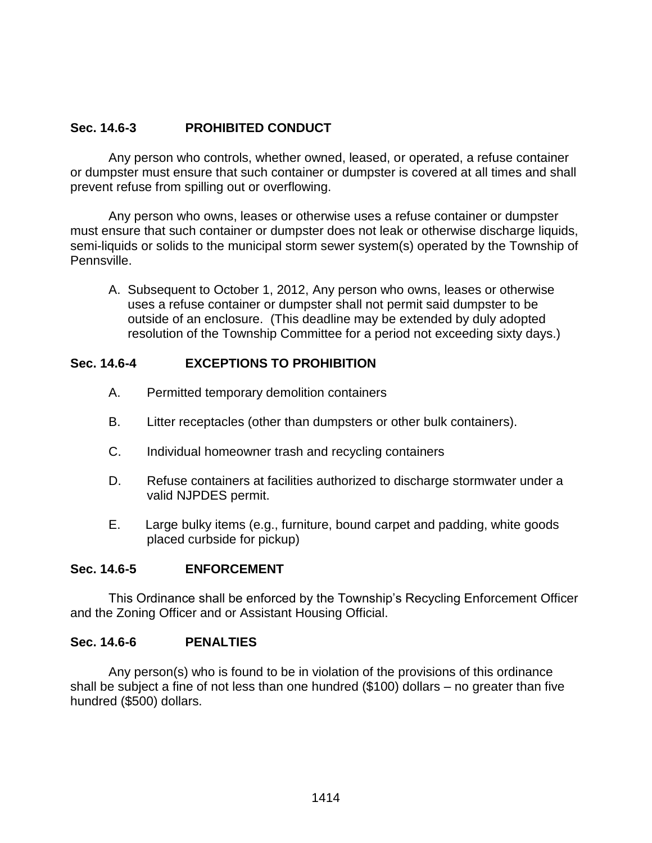## **Sec. 14.6-3 PROHIBITED CONDUCT**

Any person who controls, whether owned, leased, or operated, a refuse container or dumpster must ensure that such container or dumpster is covered at all times and shall prevent refuse from spilling out or overflowing.

Any person who owns, leases or otherwise uses a refuse container or dumpster must ensure that such container or dumpster does not leak or otherwise discharge liquids, semi-liquids or solids to the municipal storm sewer system(s) operated by the Township of Pennsville.

A. Subsequent to October 1, 2012, Any person who owns, leases or otherwise uses a refuse container or dumpster shall not permit said dumpster to be outside of an enclosure. (This deadline may be extended by duly adopted resolution of the Township Committee for a period not exceeding sixty days.)

### **Sec. 14.6-4 EXCEPTIONS TO PROHIBITION**

- A. Permitted temporary demolition containers
- B. Litter receptacles (other than dumpsters or other bulk containers).
- C. Individual homeowner trash and recycling containers
- D. Refuse containers at facilities authorized to discharge stormwater under a valid NJPDES permit.
- E. Large bulky items (e.g., furniture, bound carpet and padding, white goods placed curbside for pickup)

### **Sec. 14.6-5 ENFORCEMENT**

This Ordinance shall be enforced by the Township's Recycling Enforcement Officer and the Zoning Officer and or Assistant Housing Official.

### **Sec. 14.6-6 PENALTIES**

Any person(s) who is found to be in violation of the provisions of this ordinance shall be subject a fine of not less than one hundred (\$100) dollars – no greater than five hundred (\$500) dollars.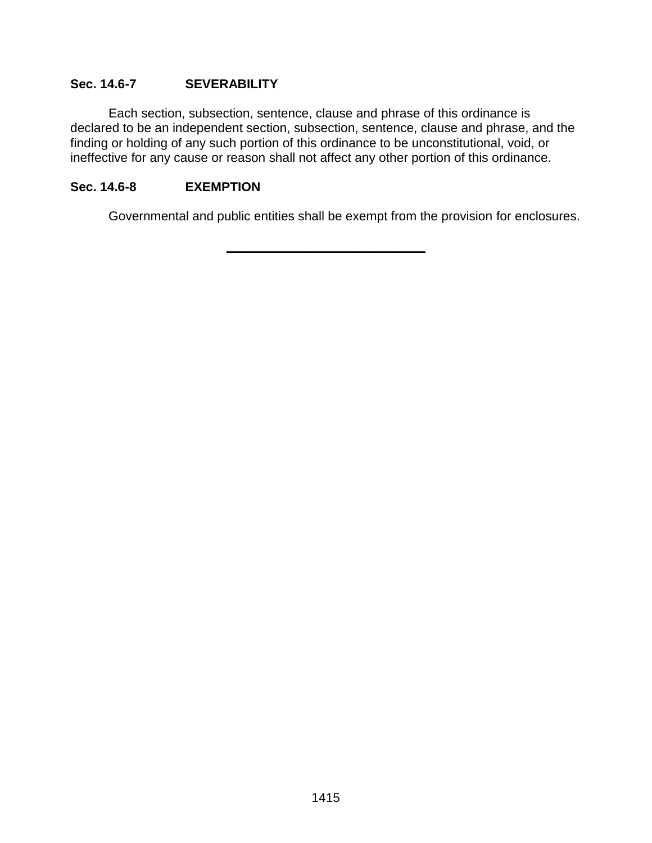### **Sec. 14.6-7 SEVERABILITY**

Each section, subsection, sentence, clause and phrase of this ordinance is declared to be an independent section, subsection, sentence, clause and phrase, and the finding or holding of any such portion of this ordinance to be unconstitutional, void, or ineffective for any cause or reason shall not affect any other portion of this ordinance.

**\_\_\_\_\_\_\_\_\_\_\_\_\_\_\_\_\_\_\_\_\_\_\_\_\_\_\_\_**

### **Sec. 14.6-8 EXEMPTION**

Governmental and public entities shall be exempt from the provision for enclosures.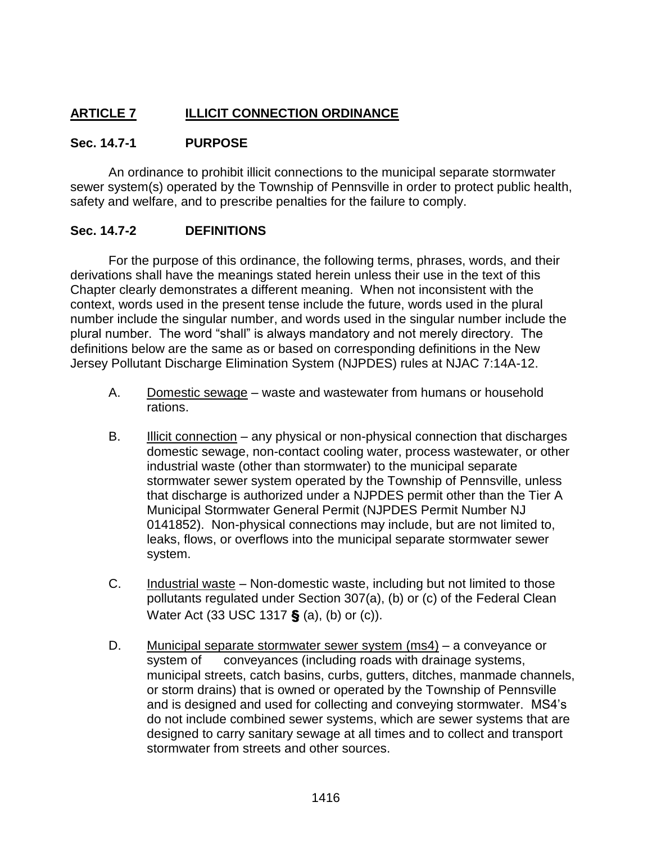# **ARTICLE 7 ILLICIT CONNECTION ORDINANCE**

## **Sec. 14.7-1 PURPOSE**

An ordinance to prohibit illicit connections to the municipal separate stormwater sewer system(s) operated by the Township of Pennsville in order to protect public health, safety and welfare, and to prescribe penalties for the failure to comply.

### **Sec. 14.7-2 DEFINITIONS**

For the purpose of this ordinance, the following terms, phrases, words, and their derivations shall have the meanings stated herein unless their use in the text of this Chapter clearly demonstrates a different meaning. When not inconsistent with the context, words used in the present tense include the future, words used in the plural number include the singular number, and words used in the singular number include the plural number. The word "shall" is always mandatory and not merely directory. The definitions below are the same as or based on corresponding definitions in the New Jersey Pollutant Discharge Elimination System (NJPDES) rules at NJAC 7:14A-12.

- A. Domestic sewage waste and wastewater from humans or household rations.
- B. **Illicit connection** any physical or non-physical connection that discharges domestic sewage, non-contact cooling water, process wastewater, or other industrial waste (other than stormwater) to the municipal separate stormwater sewer system operated by the Township of Pennsville, unless that discharge is authorized under a NJPDES permit other than the Tier A Municipal Stormwater General Permit (NJPDES Permit Number NJ 0141852). Non-physical connections may include, but are not limited to, leaks, flows, or overflows into the municipal separate stormwater sewer system.
- C. **Industrial waste** Non-domestic waste, including but not limited to those pollutants regulated under Section 307(a), (b) or (c) of the Federal Clean Water Act (33 USC 1317 § (a), (b) or (c)).
- D. Municipal separate stormwater sewer system (ms4) a conveyance or system of conveyances (including roads with drainage systems, municipal streets, catch basins, curbs, gutters, ditches, manmade channels, or storm drains) that is owned or operated by the Township of Pennsville and is designed and used for collecting and conveying stormwater. MS4's do not include combined sewer systems, which are sewer systems that are designed to carry sanitary sewage at all times and to collect and transport stormwater from streets and other sources.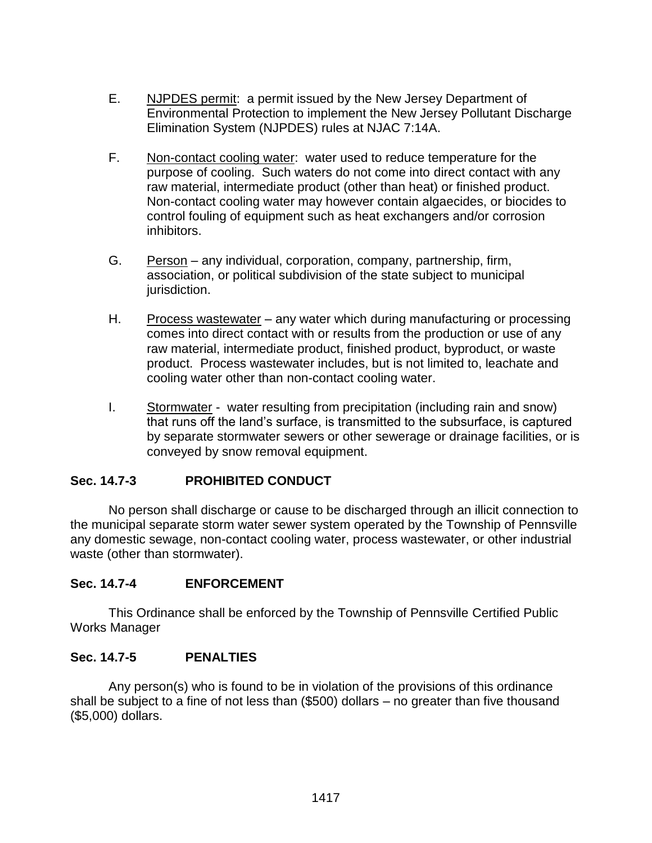- E. NJPDES permit: a permit issued by the New Jersey Department of Environmental Protection to implement the New Jersey Pollutant Discharge Elimination System (NJPDES) rules at NJAC 7:14A.
- F. Non-contact cooling water: water used to reduce temperature for the purpose of cooling. Such waters do not come into direct contact with any raw material, intermediate product (other than heat) or finished product. Non-contact cooling water may however contain algaecides, or biocides to control fouling of equipment such as heat exchangers and/or corrosion inhibitors.
- G. Person any individual, corporation, company, partnership, firm, association, or political subdivision of the state subject to municipal jurisdiction.
- H. Process wastewater any water which during manufacturing or processing comes into direct contact with or results from the production or use of any raw material, intermediate product, finished product, byproduct, or waste product. Process wastewater includes, but is not limited to, leachate and cooling water other than non-contact cooling water.
- I. Stormwater water resulting from precipitation (including rain and snow) that runs off the land's surface, is transmitted to the subsurface, is captured by separate stormwater sewers or other sewerage or drainage facilities, or is conveyed by snow removal equipment.

## **Sec. 14.7-3 PROHIBITED CONDUCT**

No person shall discharge or cause to be discharged through an illicit connection to the municipal separate storm water sewer system operated by the Township of Pennsville any domestic sewage, non-contact cooling water, process wastewater, or other industrial waste (other than stormwater).

## **Sec. 14.7-4 ENFORCEMENT**

This Ordinance shall be enforced by the Township of Pennsville Certified Public Works Manager

### **Sec. 14.7-5 PENALTIES**

Any person(s) who is found to be in violation of the provisions of this ordinance shall be subject to a fine of not less than (\$500) dollars – no greater than five thousand (\$5,000) dollars.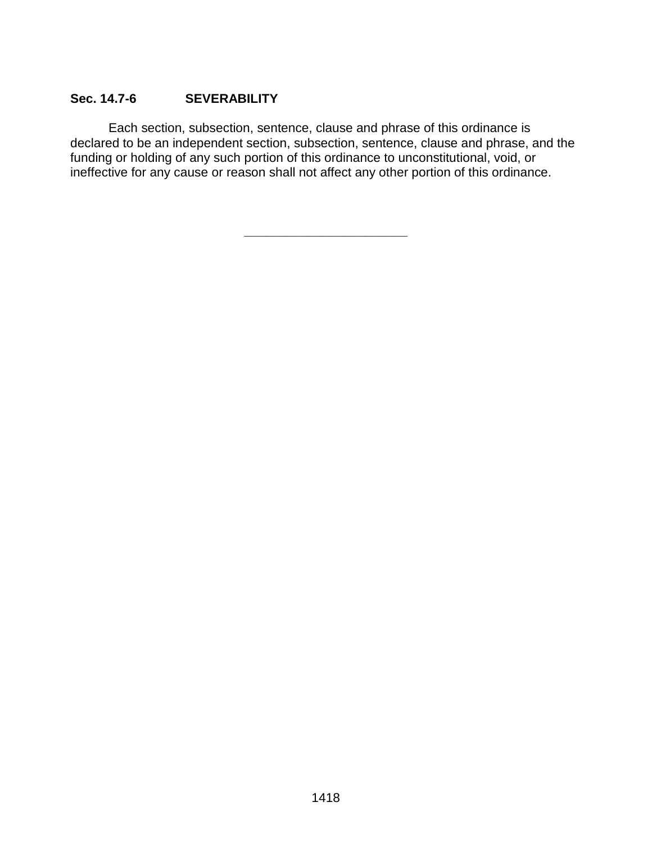## **Sec. 14.7-6 SEVERABILITY**

Each section, subsection, sentence, clause and phrase of this ordinance is declared to be an independent section, subsection, sentence, clause and phrase, and the funding or holding of any such portion of this ordinance to unconstitutional, void, or ineffective for any cause or reason shall not affect any other portion of this ordinance.

**\_\_\_\_\_\_\_\_\_\_\_\_\_\_\_\_\_\_\_\_\_\_\_**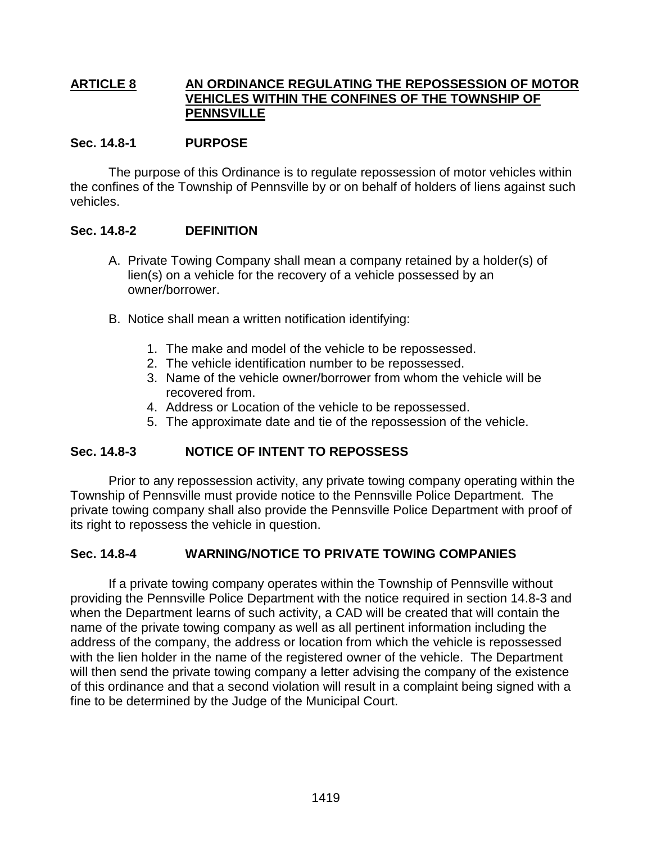### **ARTICLE 8 AN ORDINANCE REGULATING THE REPOSSESSION OF MOTOR VEHICLES WITHIN THE CONFINES OF THE TOWNSHIP OF PENNSVILLE**

### **Sec. 14.8-1 PURPOSE**

The purpose of this Ordinance is to regulate repossession of motor vehicles within the confines of the Township of Pennsville by or on behalf of holders of liens against such vehicles.

## **Sec. 14.8-2 DEFINITION**

- A. Private Towing Company shall mean a company retained by a holder(s) of lien(s) on a vehicle for the recovery of a vehicle possessed by an owner/borrower.
- B. Notice shall mean a written notification identifying:
	- 1. The make and model of the vehicle to be repossessed.
	- 2. The vehicle identification number to be repossessed.
	- 3. Name of the vehicle owner/borrower from whom the vehicle will be recovered from.
	- 4. Address or Location of the vehicle to be repossessed.
	- 5. The approximate date and tie of the repossession of the vehicle.

## **Sec. 14.8-3 NOTICE OF INTENT TO REPOSSESS**

Prior to any repossession activity, any private towing company operating within the Township of Pennsville must provide notice to the Pennsville Police Department. The private towing company shall also provide the Pennsville Police Department with proof of its right to repossess the vehicle in question.

### **Sec. 14.8-4 WARNING/NOTICE TO PRIVATE TOWING COMPANIES**

If a private towing company operates within the Township of Pennsville without providing the Pennsville Police Department with the notice required in section 14.8-3 and when the Department learns of such activity, a CAD will be created that will contain the name of the private towing company as well as all pertinent information including the address of the company, the address or location from which the vehicle is repossessed with the lien holder in the name of the registered owner of the vehicle. The Department will then send the private towing company a letter advising the company of the existence of this ordinance and that a second violation will result in a complaint being signed with a fine to be determined by the Judge of the Municipal Court.